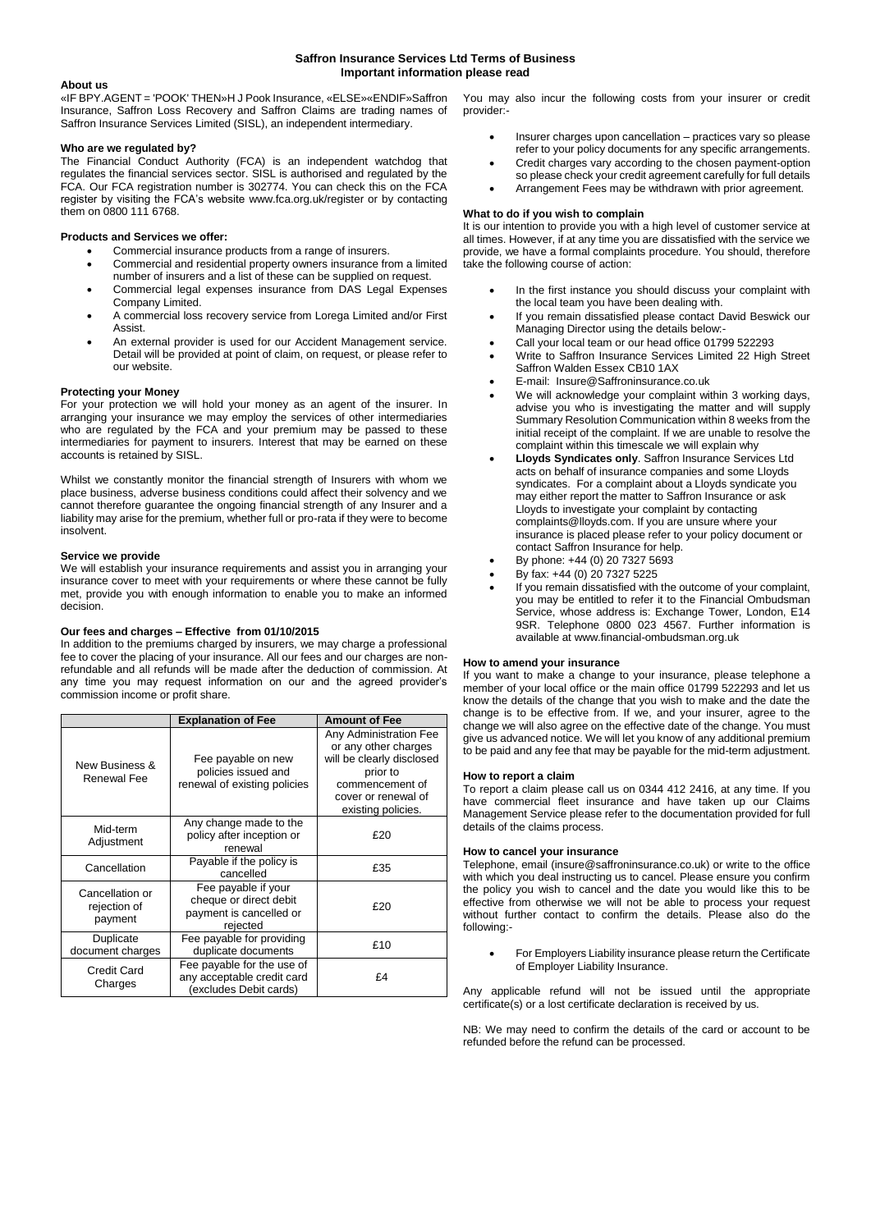# **Saffron Insurance Services Ltd Terms of Business Important information please read**

### **About us**

«IF BPY.AGENT = 'POOK' THEN»H J Pook Insurance, «ELSE»«ENDIF»Saffron Insurance, Saffron Loss Recovery and Saffron Claims are trading names of Saffron Insurance Services Limited (SISL), an independent intermediary.

#### **Who are we regulated by?**

The Financial Conduct Authority (FCA) is an independent watchdog that regulates the financial services sector. SISL is authorised and regulated by the FCA. Our FCA registration number is 302774. You can check this on the FCA register by visiting the FCA's website www.fca.org.uk/register or by contacting them on 0800 111 6768.

#### **Products and Services we offer:**

- Commercial insurance products from a range of insurers.
- Commercial and residential property owners insurance from a limited number of insurers and a list of these can be supplied on request.
- Commercial legal expenses insurance from DAS Legal Expenses Company Limited.
- A commercial loss recovery service from Lorega Limited and/or First Assist.
- An external provider is used for our Accident Management service. Detail will be provided at point of claim, on request, or please refer to our website.

### **Protecting your Money**

For your protection we will hold your money as an agent of the insurer. In arranging your insurance we may employ the services of other intermediaries who are regulated by the FCA and your premium may be passed to these intermediaries for payment to insurers. Interest that may be earned on these accounts is retained by SISL.

Whilst we constantly monitor the financial strength of Insurers with whom we place business, adverse business conditions could affect their solvency and we cannot therefore guarantee the ongoing financial strength of any Insurer and a liability may arise for the premium, whether full or pro-rata if they were to become insolvent.

#### **Service we provide**

We will establish your insurance requirements and assist you in arranging your insurance cover to meet with your requirements or where these cannot be fully met, provide you with enough information to enable you to make an informed decision.

# **Our fees and charges – Effective from 01/10/2015**

In addition to the premiums charged by insurers, we may charge a professional fee to cover the placing of your insurance. All our fees and our charges are nonrefundable and all refunds will be made after the deduction of commission. At any time you may request information on our and the agreed provider's commission income or profit share.

|                                            | <b>Explanation of Fee</b>                                                            | <b>Amount of Fee</b>                                                                                                                                    |
|--------------------------------------------|--------------------------------------------------------------------------------------|---------------------------------------------------------------------------------------------------------------------------------------------------------|
| New Business &<br>Renewal Fee              | Fee payable on new<br>policies issued and<br>renewal of existing policies            | Any Administration Fee<br>or any other charges<br>will be clearly disclosed<br>prior to<br>commencement of<br>cover or renewal of<br>existing policies. |
| Mid-term<br>Adjustment                     | Any change made to the<br>policy after inception or<br>renewal                       | £20                                                                                                                                                     |
| Cancellation                               | Payable if the policy is<br>cancelled                                                | £35                                                                                                                                                     |
| Cancellation or<br>rejection of<br>payment | Fee payable if your<br>cheque or direct debit<br>payment is cancelled or<br>rejected | £20                                                                                                                                                     |
| Duplicate<br>document charges              | Fee payable for providing<br>duplicate documents                                     | £10                                                                                                                                                     |
| <b>Credit Card</b><br>Charges              | Fee payable for the use of<br>any acceptable credit card<br>(excludes Debit cards)   | £4                                                                                                                                                      |

You may also incur the following costs from your insurer or credit provider:-

- Insurer charges upon cancellation practices vary so please refer to your policy documents for any specific arrangements.
- Credit charges vary according to the chosen payment-option so please check your credit agreement carefully for full details
- Arrangement Fees may be withdrawn with prior agreement.

# **What to do if you wish to complain**

It is our intention to provide you with a high level of customer service at all times. However, if at any time you are dissatisfied with the service we provide, we have a formal complaints procedure. You should, therefore take the following course of action:

- In the first instance you should discuss your complaint with the local team you have been dealing with.
- If you remain dissatisfied please contact David Beswick our Managing Director using the details below:-
- Call your local team or our head office 01799 522293
- Write to Saffron Insurance Services Limited 22 High Street Saffron Walden Essex CB10 1AX
- E-mail: Insure@Saffroninsurance.co.uk
- We will acknowledge your complaint within 3 working days. advise you who is investigating the matter and will supply Summary Resolution Communication within 8 weeks from the initial receipt of the complaint. If we are unable to resolve the complaint within this timescale we will explain why
- **Lloyds Syndicates only**. Saffron Insurance Services Ltd acts on behalf of insurance companies and some Lloyds syndicates. For a complaint about a Lloyds syndicate you may either report the matter to Saffron Insurance or ask Lloyds to investigate your complaint by contacting complaints@lloyds.com. If you are unsure where your insurance is placed please refer to your policy document or contact Saffron Insurance for help.
- By phone: +44 (0) 20 7327 5693
- By fax: +44 (0) 20 7327 5225
- If you remain dissatisfied with the outcome of your complaint, you may be entitled to refer it to the Financial Ombudsman Service, whose address is: Exchange Tower, London, E14 9SR. Telephone 0800 023 4567. Further information is available at www.financial-ombudsman.org.uk

### **How to amend your insurance**

If you want to make a change to your insurance, please telephone a member of your local office or the main office 01799 522293 and let us know the details of the change that you wish to make and the date the change is to be effective from. If we, and your insurer, agree to the change we will also agree on the effective date of the change. You must give us advanced notice. We will let you know of any additional premium to be paid and any fee that may be payable for the mid-term adjustment.

### **How to report a claim**

To report a claim please call us on 0344 412 2416, at any time. If you have commercial fleet insurance and have taken up our Claims Management Service please refer to the documentation provided for full details of the claims process.

# **How to cancel your insurance**

Telephone, email (insure@saffroninsurance.co.uk) or write to the office with which you deal instructing us to cancel. Please ensure you confirm the policy you wish to cancel and the date you would like this to be effective from otherwise we will not be able to process your request without further contact to confirm the details. Please also do the following:-

 For Employers Liability insurance please return the Certificate of Employer Liability Insurance.

Any applicable refund will not be issued until the appropriate certificate(s) or a lost certificate declaration is received by us.

NB: We may need to confirm the details of the card or account to be refunded before the refund can be processed.